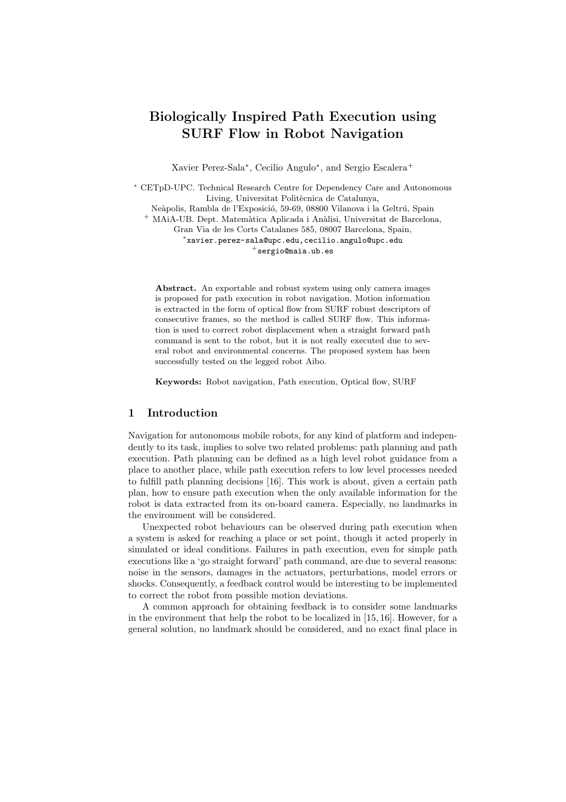# Biologically Inspired Path Execution using SURF Flow in Robot Navigation

Xavier Perez-Sala<sup>∗</sup> , Cecilio Angulo<sup>∗</sup> , and Sergio Escalera<sup>+</sup>

<sup>∗</sup> CETpD-UPC. Technical Research Centre for Dependency Care and Autonomous Living, Universitat Politècnica de Catalunya, Neàpolis, Rambla de l'Exposició, 59-69, 08800 Vilanova i la Geltrú, Spain <sup>+</sup> MAiA-UB. Dept. Matemàtica Aplicada i Anàlisi, Universitat de Barcelona, Gran Via de les Corts Catalanes 585, 08007 Barcelona, Spain, ∗ xavier.perez-sala@upc.edu,cecilio.angulo@upc.edu <sup>+</sup>sergio@maia.ub.es

Abstract. An exportable and robust system using only camera images is proposed for path execution in robot navigation. Motion information is extracted in the form of optical flow from SURF robust descriptors of consecutive frames, so the method is called SURF flow. This information is used to correct robot displacement when a straight forward path command is sent to the robot, but it is not really executed due to several robot and environmental concerns. The proposed system has been successfully tested on the legged robot Aibo.

Keywords: Robot navigation, Path execution, Optical flow, SURF

## 1 Introduction

Navigation for autonomous mobile robots, for any kind of platform and independently to its task, implies to solve two related problems: path planning and path execution. Path planning can be defined as a high level robot guidance from a place to another place, while path execution refers to low level processes needed to fulfill path planning decisions [16]. This work is about, given a certain path plan, how to ensure path execution when the only available information for the robot is data extracted from its on-board camera. Especially, no landmarks in the environment will be considered.

Unexpected robot behaviours can be observed during path execution when a system is asked for reaching a place or set point, though it acted properly in simulated or ideal conditions. Failures in path execution, even for simple path executions like a 'go straight forward' path command, are due to several reasons: noise in the sensors, damages in the actuators, perturbations, model errors or shocks. Consequently, a feedback control would be interesting to be implemented to correct the robot from possible motion deviations.

A common approach for obtaining feedback is to consider some landmarks in the environment that help the robot to be localized in [15, 16]. However, for a general solution, no landmark should be considered, and no exact final place in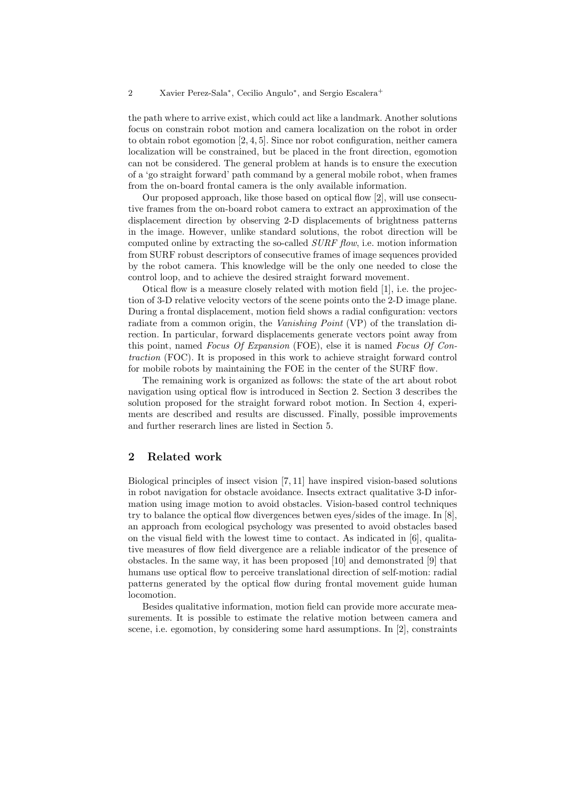the path where to arrive exist, which could act like a landmark. Another solutions focus on constrain robot motion and camera localization on the robot in order to obtain robot egomotion [2, 4, 5]. Since nor robot configuration, neither camera localization will be constrained, but be placed in the front direction, egomotion can not be considered. The general problem at hands is to ensure the execution of a 'go straight forward' path command by a general mobile robot, when frames from the on-board frontal camera is the only available information.

Our proposed approach, like those based on optical flow [2], will use consecutive frames from the on-board robot camera to extract an approximation of the displacement direction by observing 2-D displacements of brightness patterns in the image. However, unlike standard solutions, the robot direction will be computed online by extracting the so-called SURF flow, i.e. motion information from SURF robust descriptors of consecutive frames of image sequences provided by the robot camera. This knowledge will be the only one needed to close the control loop, and to achieve the desired straight forward movement.

Otical flow is a measure closely related with motion field [1], i.e. the projection of 3-D relative velocity vectors of the scene points onto the 2-D image plane. During a frontal displacement, motion field shows a radial configuration: vectors radiate from a common origin, the *Vanishing Point* (VP) of the translation direction. In particular, forward displacements generate vectors point away from this point, named Focus Of Expansion (FOE), else it is named Focus Of Contraction (FOC). It is proposed in this work to achieve straight forward control for mobile robots by maintaining the FOE in the center of the SURF flow.

The remaining work is organized as follows: the state of the art about robot navigation using optical flow is introduced in Section 2. Section 3 describes the solution proposed for the straight forward robot motion. In Section 4, experiments are described and results are discussed. Finally, possible improvements and further reserarch lines are listed in Section 5.

## 2 Related work

Biological principles of insect vision [7, 11] have inspired vision-based solutions in robot navigation for obstacle avoidance. Insects extract qualitative 3-D information using image motion to avoid obstacles. Vision-based control techniques try to balance the optical flow divergences betwen eyes/sides of the image. In [8], an approach from ecological psychology was presented to avoid obstacles based on the visual field with the lowest time to contact. As indicated in [6], qualitative measures of flow field divergence are a reliable indicator of the presence of obstacles. In the same way, it has been proposed [10] and demonstrated [9] that humans use optical flow to perceive translational direction of self-motion: radial patterns generated by the optical flow during frontal movement guide human locomotion.

Besides qualitative information, motion field can provide more accurate measurements. It is possible to estimate the relative motion between camera and scene, i.e. egomotion, by considering some hard assumptions. In [2], constraints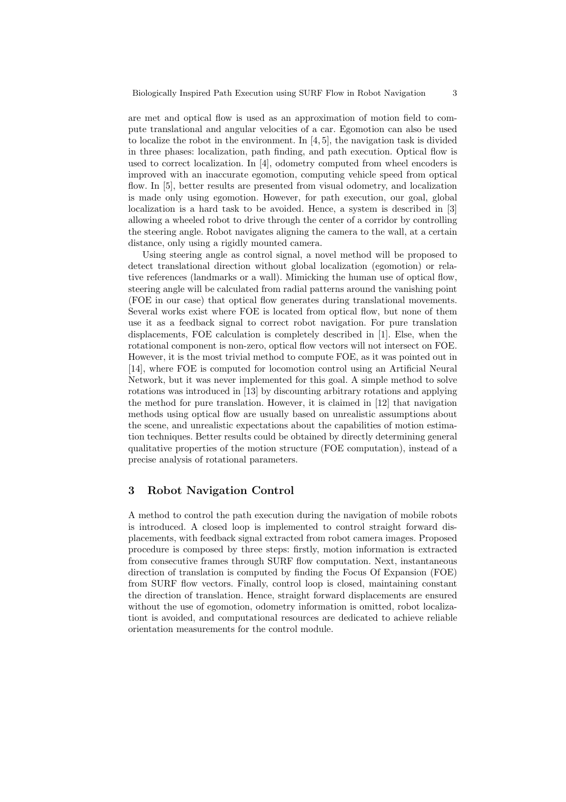are met and optical flow is used as an approximation of motion field to compute translational and angular velocities of a car. Egomotion can also be used to localize the robot in the environment. In [4, 5], the navigation task is divided in three phases: localization, path finding, and path execution. Optical flow is used to correct localization. In [4], odometry computed from wheel encoders is improved with an inaccurate egomotion, computing vehicle speed from optical flow. In [5], better results are presented from visual odometry, and localization is made only using egomotion. However, for path execution, our goal, global localization is a hard task to be avoided. Hence, a system is described in [3] allowing a wheeled robot to drive through the center of a corridor by controlling the steering angle. Robot navigates aligning the camera to the wall, at a certain distance, only using a rigidly mounted camera.

Using steering angle as control signal, a novel method will be proposed to detect translational direction without global localization (egomotion) or relative references (landmarks or a wall). Mimicking the human use of optical flow, steering angle will be calculated from radial patterns around the vanishing point (FOE in our case) that optical flow generates during translational movements. Several works exist where FOE is located from optical flow, but none of them use it as a feedback signal to correct robot navigation. For pure translation displacements, FOE calculation is completely described in [1]. Else, when the rotational component is non-zero, optical flow vectors will not intersect on FOE. However, it is the most trivial method to compute FOE, as it was pointed out in [14], where FOE is computed for locomotion control using an Artificial Neural Network, but it was never implemented for this goal. A simple method to solve rotations was introduced in [13] by discounting arbitrary rotations and applying the method for pure translation. However, it is claimed in [12] that navigation methods using optical flow are usually based on unrealistic assumptions about the scene, and unrealistic expectations about the capabilities of motion estimation techniques. Better results could be obtained by directly determining general qualitative properties of the motion structure (FOE computation), instead of a precise analysis of rotational parameters.

#### 3 Robot Navigation Control

A method to control the path execution during the navigation of mobile robots is introduced. A closed loop is implemented to control straight forward displacements, with feedback signal extracted from robot camera images. Proposed procedure is composed by three steps: firstly, motion information is extracted from consecutive frames through SURF flow computation. Next, instantaneous direction of translation is computed by finding the Focus Of Expansion (FOE) from SURF flow vectors. Finally, control loop is closed, maintaining constant the direction of translation. Hence, straight forward displacements are ensured without the use of egomotion, odometry information is omitted, robot localizationt is avoided, and computational resources are dedicated to achieve reliable orientation measurements for the control module.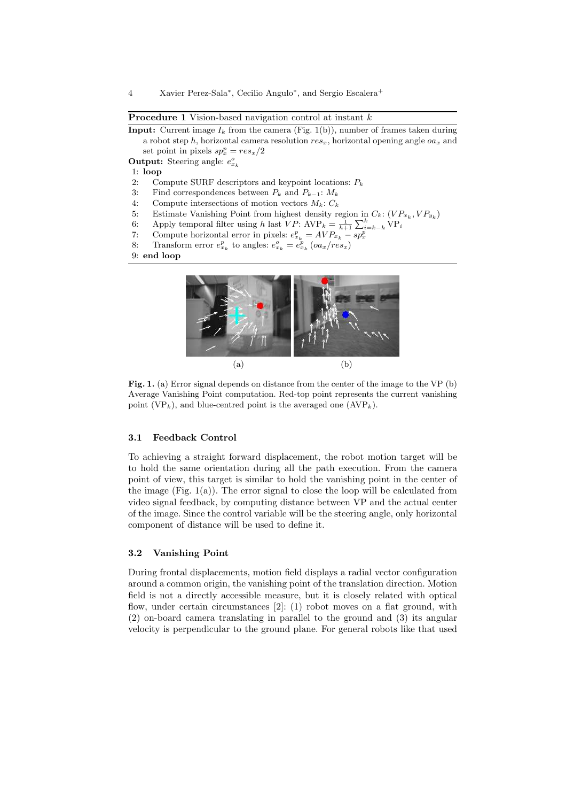#### **Procedure 1** Vision-based navigation control at instant  $k$

**Input:** Current image  $I_k$  from the camera (Fig. 1(b)), number of frames taken during a robot step h, horizontal camera resolution  $res_x$ , horizontal opening angle  $oa_x$  and set point in pixels  $sp_x^p = res_x/2$ 

**Output:** Steering angle:  $e_{x_k}^o$ 

1: loop

- 2: Compute SURF descriptors and keypoint locations:  $P_k$
- 3: Find correspondences between  $P_k$  and  $P_{k-1}: M_k$
- 4: Compute intersections of motion vectors  $M_k: C_k$
- 5: Estimate Vanishing Point from highest density region in  $C_k$ :  $(VP_{x_k}, VP_{y_k})$
- 6: Apply temporal filter using h last  $VP: AVP_k = \frac{1}{h+1} \sum_{i=k-h}^{k} VP_i$
- 7: Compute horizontal error in pixels:  $e_{x_k}^p = AVP_{x_k}^{p+1} SP_x^p$ <br>8: Transform error  $e_{x_k}^p$  to angles:  $e_{x_k}^o = e_{x_k}^p$  ( $oa_x$ /res<sub>x</sub>)
- 

9: end loop



Fig. 1. (a) Error signal depends on distance from the center of the image to the VP (b) Average Vanishing Point computation. Red-top point represents the current vanishing point  $(VP_k)$ , and blue-centred point is the averaged one  $(AVP_k)$ .

#### 3.1 Feedback Control

To achieving a straight forward displacement, the robot motion target will be to hold the same orientation during all the path execution. From the camera point of view, this target is similar to hold the vanishing point in the center of the image  $(Fig. 1(a))$ . The error signal to close the loop will be calculated from video signal feedback, by computing distance between VP and the actual center of the image. Since the control variable will be the steering angle, only horizontal component of distance will be used to define it.

## 3.2 Vanishing Point

During frontal displacements, motion field displays a radial vector configuration around a common origin, the vanishing point of the translation direction. Motion field is not a directly accessible measure, but it is closely related with optical flow, under certain circumstances [2]: (1) robot moves on a flat ground, with (2) on-board camera translating in parallel to the ground and (3) its angular velocity is perpendicular to the ground plane. For general robots like that used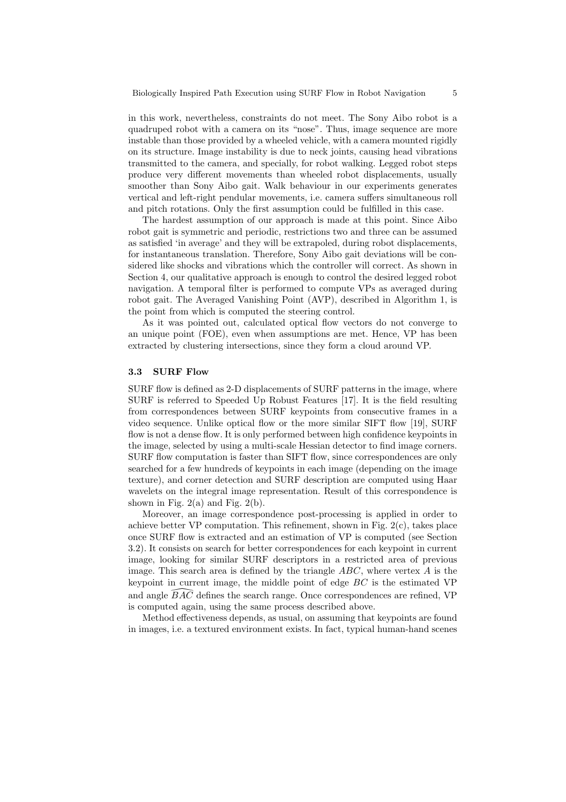in this work, nevertheless, constraints do not meet. The Sony Aibo robot is a quadruped robot with a camera on its "nose". Thus, image sequence are more instable than those provided by a wheeled vehicle, with a camera mounted rigidly on its structure. Image instability is due to neck joints, causing head vibrations transmitted to the camera, and specially, for robot walking. Legged robot steps produce very different movements than wheeled robot displacements, usually smoother than Sony Aibo gait. Walk behaviour in our experiments generates vertical and left-right pendular movements, i.e. camera suffers simultaneous roll and pitch rotations. Only the first assumption could be fulfilled in this case.

The hardest assumption of our approach is made at this point. Since Aibo robot gait is symmetric and periodic, restrictions two and three can be assumed as satisfied 'in average' and they will be extrapoled, during robot displacements, for instantaneous translation. Therefore, Sony Aibo gait deviations will be considered like shocks and vibrations which the controller will correct. As shown in Section 4, our qualitative approach is enough to control the desired legged robot navigation. A temporal filter is performed to compute VPs as averaged during robot gait. The Averaged Vanishing Point (AVP), described in Algorithm 1, is the point from which is computed the steering control.

As it was pointed out, calculated optical flow vectors do not converge to an unique point (FOE), even when assumptions are met. Hence, VP has been extracted by clustering intersections, since they form a cloud around VP.

## 3.3 SURF Flow

SURF flow is defined as 2-D displacements of SURF patterns in the image, where SURF is referred to Speeded Up Robust Features [17]. It is the field resulting from correspondences between SURF keypoints from consecutive frames in a video sequence. Unlike optical flow or the more similar SIFT flow [19], SURF flow is not a dense flow. It is only performed between high confidence keypoints in the image, selected by using a multi-scale Hessian detector to find image corners. SURF flow computation is faster than SIFT flow, since correspondences are only searched for a few hundreds of keypoints in each image (depending on the image texture), and corner detection and SURF description are computed using Haar wavelets on the integral image representation. Result of this correspondence is shown in Fig.  $2(a)$  and Fig.  $2(b)$ .

Moreover, an image correspondence post-processing is applied in order to achieve better VP computation. This refinement, shown in Fig. 2(c), takes place once SURF flow is extracted and an estimation of VP is computed (see Section 3.2). It consists on search for better correspondences for each keypoint in current image, looking for similar SURF descriptors in a restricted area of previous image. This search area is defined by the triangle  $ABC$ , where vertex  $A$  is the keypoint in current image, the middle point of edge  $BC$  is the estimated VP and angle  $BAC$  defines the search range. Once correspondences are refined, VP is computed again, using the same process described above.

Method effectiveness depends, as usual, on assuming that keypoints are found in images, i.e. a textured environment exists. In fact, typical human-hand scenes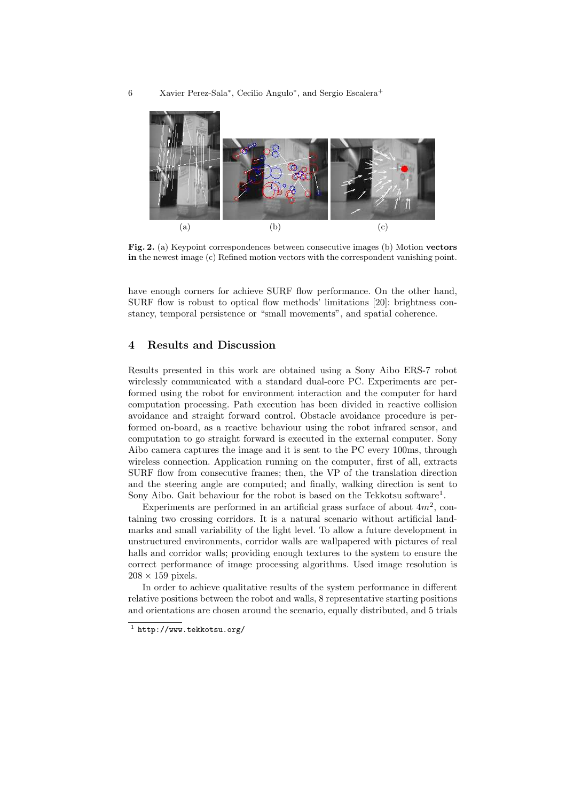

Fig. 2. (a) Keypoint correspondences between consecutive images (b) Motion vectors in the newest image (c) Refined motion vectors with the correspondent vanishing point.

have enough corners for achieve SURF flow performance. On the other hand, SURF flow is robust to optical flow methods' limitations [20]: brightness constancy, temporal persistence or "small movements", and spatial coherence.

# 4 Results and Discussion

Results presented in this work are obtained using a Sony Aibo ERS-7 robot wirelessly communicated with a standard dual-core PC. Experiments are performed using the robot for environment interaction and the computer for hard computation processing. Path execution has been divided in reactive collision avoidance and straight forward control. Obstacle avoidance procedure is performed on-board, as a reactive behaviour using the robot infrared sensor, and computation to go straight forward is executed in the external computer. Sony Aibo camera captures the image and it is sent to the PC every 100ms, through wireless connection. Application running on the computer, first of all, extracts SURF flow from consecutive frames; then, the VP of the translation direction and the steering angle are computed; and finally, walking direction is sent to Sony Aibo. Gait behaviour for the robot is based on the Tekkotsu software<sup>1</sup>.

Experiments are performed in an artificial grass surface of about  $4m^2$ , containing two crossing corridors. It is a natural scenario without artificial landmarks and small variability of the light level. To allow a future development in unstructured environments, corridor walls are wallpapered with pictures of real halls and corridor walls; providing enough textures to the system to ensure the correct performance of image processing algorithms. Used image resolution is  $208 \times 159$  pixels.

In order to achieve qualitative results of the system performance in different relative positions between the robot and walls, 8 representative starting positions and orientations are chosen around the scenario, equally distributed, and 5 trials

 $^1$  http://www.tekkotsu.org/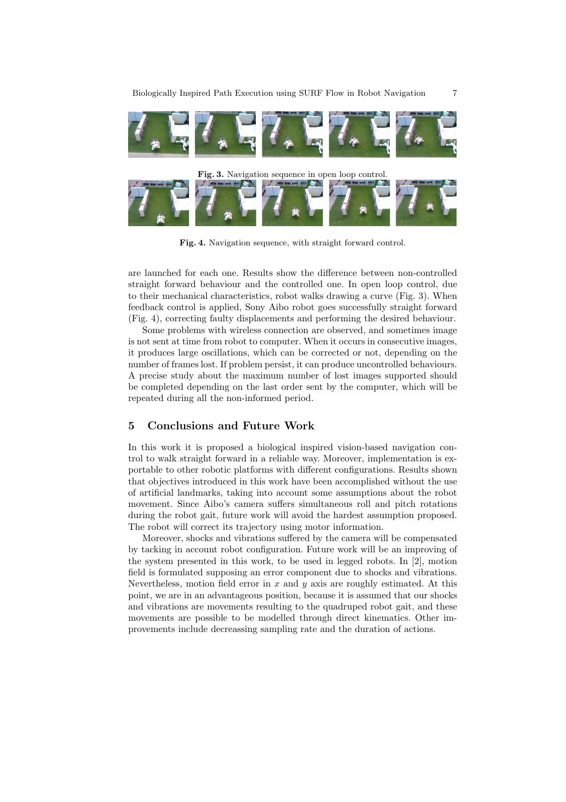

Fig. 4. Navigation sequence, with straight forward control.

are launched for each one. Results show the difference between non-controlled straight forward behaviour and the controlled one. In open loop control, due to their mechanical characteristics, robot walks drawing a curve (Fig. 3). When feedback control is applied, Sony Aibo robot goes successfully straight forward (Fig. 4), correcting faulty displacements and performing the desired behaviour.

Some problems with wireless connection are observed, and sometimes image is not sent at time from robot to computer. When it occurs in consecutive images, it produces large oscillations, which can be corrected or not, depending on the number of frames lost. If problem persist, it can produce uncontrolled behaviours. A precise study about the maximum number of lost images supported should be completed depending on the last order sent by the computer, which will be repeated during all the non-informed period.

# 5 Conclusions and Future Work

In this work it is proposed a biological inspired vision-based navigation control to walk straight forward in a reliable way. Moreover, implementation is exportable to other robotic platforms with different configurations. Results shown that objectives introduced in this work have been accomplished without the use of artificial landmarks, taking into account some assumptions about the robot movement. Since Aibo's camera suffers simultaneous roll and pitch rotations during the robot gait, future work will avoid the hardest assumption proposed. The robot will correct its trajectory using motor information.

Moreover, shocks and vibrations suffered by the camera will be compensated by tacking in account robot configuration. Future work will be an improving of the system presented in this work, to be used in legged robots. In [2], motion field is formulated supposing an error component due to shocks and vibrations. Nevertheless, motion field error in  $x$  and  $y$  axis are roughly estimated. At this point, we are in an advantageous position, because it is assumed that our shocks and vibrations are movements resulting to the quadruped robot gait, and these movements are possible to be modelled through direct kinematics. Other improvements include decreassing sampling rate and the duration of actions.